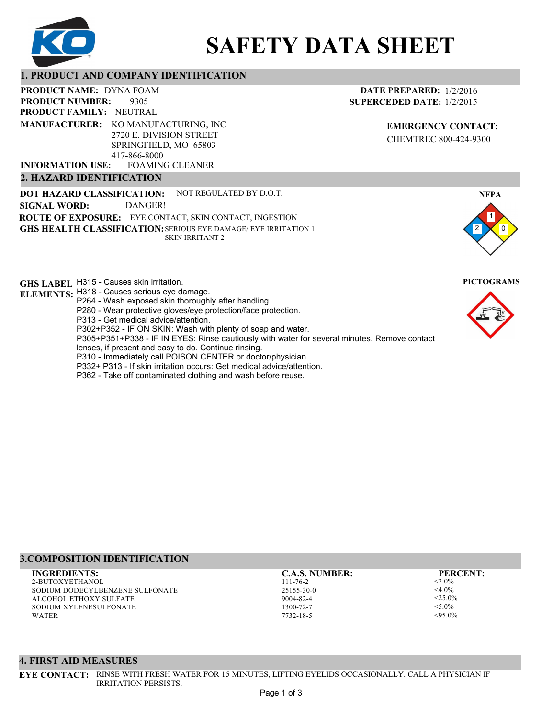

# **SAFETY DATA SHEET**

#### **1. PRODUCT AND COMPANY IDENTIFICATION**

9305 PRODUCT NAME: DYNA FOAM **PRODUCT FAMILY: NEUTRAL** FOAMING CLEANER **PRODUCT NUMBER: MANUFACTURER:** KO MANUFACTURING, INC 2720 E. DIVISION STREET SPRINGFIELD, MO 65803 417-866-8000 **INFORMATION USE:**

#### **2. HAZARD IDENTIFICATION**

**DOT HAZARD CLASSIFICATION: GHS HEALTH CLASSIFICATION:** SERIOUS EYE DAMAGE/ EYE IRRITATION 1 **ROUTE OF EXPOSURE:** EYE CONTACT, SKIN CONTACT, INGESTION NOT REGULATED BY D.O.T. SKIN IRRITANT 2 **SIGNAL WORD:** DANGER!

**GHS LABEL**  H315 - Causes skin irritation. **PICTOGRAMS**

- **ELEMENTS:** H318 Causes serious eye damage. P264 - Wash exposed skin thoroughly after handling.
	- P280 Wear protective gloves/eye protection/face protection.
	- P313 Get medical advice/attention.
	- P302+P352 IF ON SKIN: Wash with plenty of soap and water.

P305+P351+P338 - IF IN EYES: Rinse cautiously with water for several minutes. Remove contact

- lenses, if present and easy to do. Continue rinsing.
- P310 Immediately call POISON CENTER or doctor/physician.
- P332+ P313 If skin irritation occurs: Get medical advice/attention.
- P362 Take off contaminated clothing and wash before reuse.

### **3.COMPOSITION IDENTIFICATION**

2-BUTOXYETHANOL SODIUM DODECYLBENZENE SULFONATE ALCOHOL ETHOXY SULFATE SODIUM XYLENESULFONATE WATER **INGREDIENTS: C.A.S. NUMBER: PERCENT:**

IRRITATION PERSISTS.

**4. FIRST AID MEASURES**

111-76-2 25155-30-0 9004-82-4 1300-72-7 7732-18-5

 $< 2.0\%$  $<$ 4.0%  $<$ 25.0%  $<$ 5.0%  $< 95.0\%$ 

2

1 0

**NFPA**



**DATE PREPARED:** 1/2/2016 **SUPERCEDED DATE:** 1/2/2015

> **EMERGENCY CONTACT:** CHEMTREC 800-424-9300

Page 1 of 3

**EYE CONTACT:** RINSE WITH FRESH WATER FOR 15 MINUTES, LIFTING EYELIDS OCCASIONALLY. CALL A PHYSICIAN IF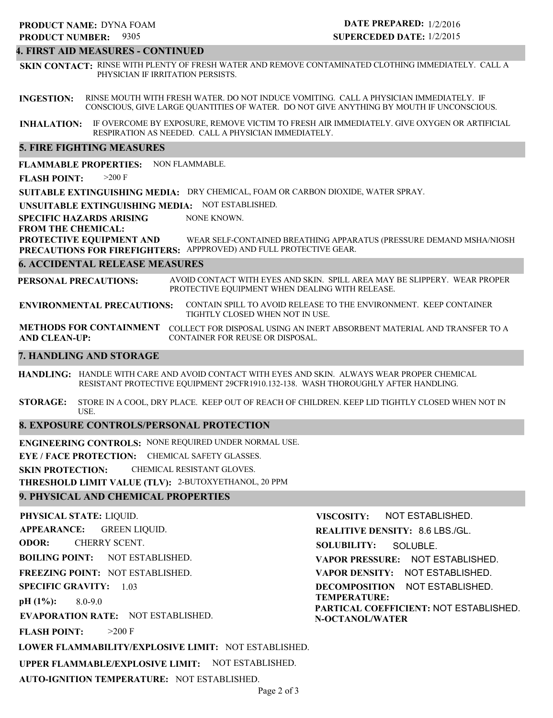## **PRODUCT NAME: DYNA FOAM**

#### 9305 **PRODUCT NUMBER:**

#### **DATE PREPARED:** 1/2/2016 **SUPERCEDED DATE:** 1/2/2015

#### **4. FIRST AID MEASURES - CONTINUED**

**SKIN CONTACT:** RINSE WITH PLENTY OF FRESH WATER AND REMOVE CONTAMINATED CLOTHING IMMEDIATELY. CALL A PHYSICIAN IF IRRITATION PERSISTS.

**INGESTION:** RINSE MOUTH WITH FRESH WATER. DO NOT INDUCE VOMITING. CALL A PHYSICIAN IMMEDIATELY. IF CONSCIOUS, GIVE LARGE QUANTITIES OF WATER. DO NOT GIVE ANYTHING BY MOUTH IF UNCONSCIOUS.

**INHALATION:** IF OVERCOME BY EXPOSURE, REMOVE VICTIM TO FRESH AIR IMMEDIATELY. GIVE OXYGEN OR ARTIFICIAL RESPIRATION AS NEEDED. CALL A PHYSICIAN IMMEDIATELY.

#### **5. FIRE FIGHTING MEASURES**

**FLAMMABLE PROPERTIES:** NON FLAMMABLE.

**FLASH POINT:** >200 F

**SUITABLE EXTINGUISHING MEDIA:** DRY CHEMICAL, FOAM OR CARBON DIOXIDE, WATER SPRAY.

**UNSUITABLE EXTINGUISHING MEDIA:** NOT ESTABLISHED.

**SPECIFIC HAZARDS ARISING** NONE KNOWN.

#### **FROM THE CHEMICAL:**

**PROTECTIVE EQUIPMENT AND PRECAUTIONS FOR FIREFIGHTERS:** APPPROVED) AND FULL PROTECTIVE GEAR. WEAR SELF-CONTAINED BREATHING APPARATUS (PRESSURE DEMAND MSHA/NIOSH

#### **6. ACCIDENTAL RELEASE MEASURES**

**PERSONAL PRECAUTIONS:** AVOID CONTACT WITH EYES AND SKIN. SPILL AREA MAY BE SLIPPERY. WEAR PROPER PROTECTIVE EQUIPMENT WHEN DEALING WITH RELEASE.

**ENVIRONMENTAL PRECAUTIONS:** CONTAIN SPILL TO AVOID RELEASE TO THE ENVIRONMENT. KEEP CONTAINER TIGHTLY CLOSED WHEN NOT IN USE.

**METHODS FOR CONTAINMENT** COLLECT FOR DISPOSAL USING AN INERT ABSORBENT MATERIAL AND TRANSFER TO A **AND CLEAN-UP:** CONTAINER FOR REUSE OR DISPOSAL.

#### **7. HANDLING AND STORAGE**

**HANDLING:** HANDLE WITH CARE AND AVOID CONTACT WITH EYES AND SKIN. ALWAYS WEAR PROPER CHEMICAL RESISTANT PROTECTIVE EQUIPMENT 29CFR1910.132-138. WASH THOROUGHLY AFTER HANDLING.

**STORAGE:** STORE IN A COOL, DRY PLACE. KEEP OUT OF REACH OF CHILDREN. KEEP LID TIGHTLY CLOSED WHEN NOT IN USE.

#### **8. EXPOSURE CONTROLS/PERSONAL PROTECTION**

**ENGINEERING CONTROLS:** NONE REQUIRED UNDER NORMAL USE.

**EYE / FACE PROTECTION:** CHEMICAL SAFETY GLASSES.

**SKIN PROTECTION:** CHEMICAL RESISTANT GLOVES.

**THRESHOLD LIMIT VALUE (TLV):** 2-BUTOXYETHANOL, 20 PPM

#### **9. PHYSICAL AND CHEMICAL PROPERTIES**

**PHYSICAL STATE:** LIQUID. **APPEARANCE: ODOR: BOILING POINT:** NOT ESTABLISHED. **FREEZING POINT:** NOT ESTABLISHED. **SPECIFIC GRAVITY:** 1.03 **pH (1%): EVAPORATION RATE:** NOT ESTABLISHED. **FLASH POINT: LOWER FLAMMABILITY/EXPLOSIVE LIMIT:** NOT ESTABLISHED. **UPPER FLAMMABLE/EXPLOSIVE LIMIT:** NOT ESTABLISHED. 8.0-9.0  $>200$  F GREEN LIQUID. CHERRY SCENT. **VISCOSITY: REALITIVE DENSITY:** 8.6 LBS./GL. **SOLUBILITY: VAPOR PRESSURE:** NOT ESTABLISHED. **VAPOR DENSITY:** NOT ESTABLISHED. **DECOMPOSITION** NOT ESTABLISHED. **TEMPERATURE: PARTICAL COEFFICIENT:** NOT ESTABLISHED. **N-OCTANOL/WATER** NOT ESTABLISHED. SOLUBLE.

**AUTO-IGNITION TEMPERATURE:** NOT ESTABLISHED.